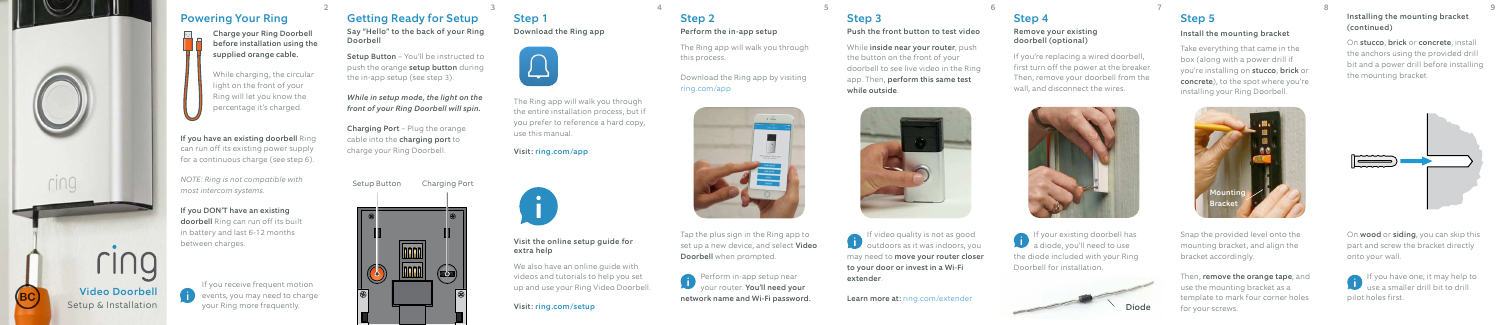

## Step 1

Download the Ring app



The Ring app will walk you through the entire installation process, but if you prefer to reference a hard copy, use this manual.

Visit: ring.com/app



### Visit the online setup guide for extra help

We also have an online guide with videos and tutorials to help you set up and use your Ring Video Doorbell.

### Visit: ring.com/setup

# Powering Your Ring

Charge your Ring Doorbell before installation using the supplied orange cable.

While charging, the circular light on the front of your Ring will let you know the percentage it's charged.

> **Perform in-app setup near** your router. You'll need your network name and Wi-Fi password.

Step 3  $2$  3 3 4 5 5 6 7 8 9 9  $\,$ 

If you have an existing doorbell Ring can run off its existing power supply for a continuous charge (see step 6).

While **inside near your router**, push the button on the front of your doorbell to see live video in the Ring app. Then, perform this same test while outside.



*NOTE: Ring is not compatible with most intercom systems.*

## If you DON'T have an existing

doorbell Ring can run off its built in battery and last 6-12 months between charges.

# Step 2

## Perform the in-app setup

The Ring app will walk you through this process.

Download the Ring app by visiting ring.com/app



Tap the plus sign in the Ring app to set up a new device, and select **Video** Doorbell when prompted.

On **wood** or **siding**, you can skip this part and screw the bracket directly onto your wall.

Push the front button to test video

If you have one, it may help to use a smaller drill bit to drill pilot holes first.

If video quality is not as good **b** outdoors as it was indoors, you may need to move your router closer to your door or invest in a Wi-Fi extender.

Learn more at: ring.com/extender

If your existing doorbell has a diode, you'll need to use the diode included with your Ring Doorbell for installation.

# Step 4

### Remove your existing doorbell (optional)

If you're replacing a wired doorbell, first turn off the power at the breaker. Then, remove your doorbell from the wall, and disconnect the wires.





## Step 5

### Install the mounting bracket

Take everything that came in the box (along with a power drill if you're installing on stucco, brick or concrete), to the spot where you're installing your Ring Doorbell.

Snap the provided level onto the mounting bracket, and align the bracket accordingly.

Then, remove the orange tape, and use the mounting bracket as a template to mark four corner holes for your screws.



Installing the mounting bracket (continued)

On stucco, brick or concrete, install the anchors using the provided drill bit and a power drill before installing the mounting bracket.



If you receive frequent motion  $\left( \begin{array}{c} \bullet \\ \bullet \end{array} \right)$  events, you may need to charge your Ring more frequently.

## Getting Ready for Setup

Say "Hello" to the back of your Ring Doorbell

Setup Button – You'll be instructed to push the orange setup button during the in-app setup (see step 3).

*While in setup mode, the light on the front of your Ring Doorbell will spin.*

Charging Port – Plug the orange cable into the **charging port** to charge your Ring Doorbell.

Setup Button Charging Port